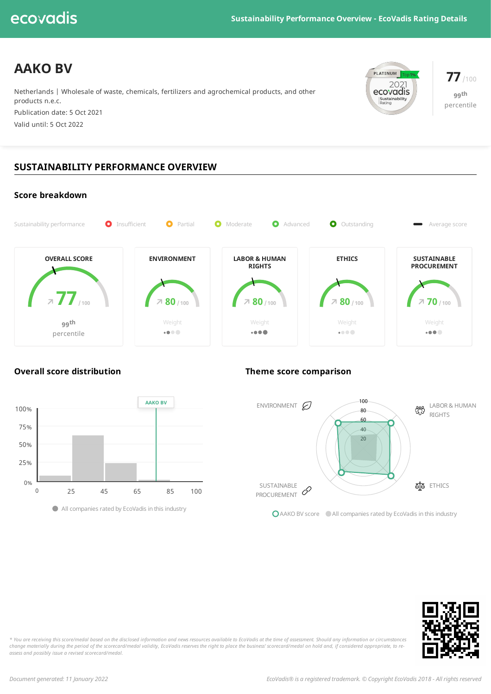# ecovadis

# **AAKO BV**

Netherlands | Wholesale of waste, chemicals, fertilizers and agrochemical products, and other products n.e.c. Publication date: 5 Oct 2021

Valid until: 5 Oct 2022



**77**/100 **99 th** percentile

# **SUSTAINABILITY PERFORMANCE OVERVIEW**



## **Overall score distribution Theme score comparison**



Allcompanies rated by EcoVadis in this industry



■ AAKO BV score ■ All companies rated by EcoVadis in this industry



\* You are receiving this score/medal based on the disclosed information and news resources available to EcoVadis at the time of assessment. Should any information or circumstances change materially during the period of the scorecard/medal validity, EcoVadis reserves the right to place the business' scorecard/medal on hold and, if considered appropriate, to re*assess and possibly issue a revised scorecard/medal.*